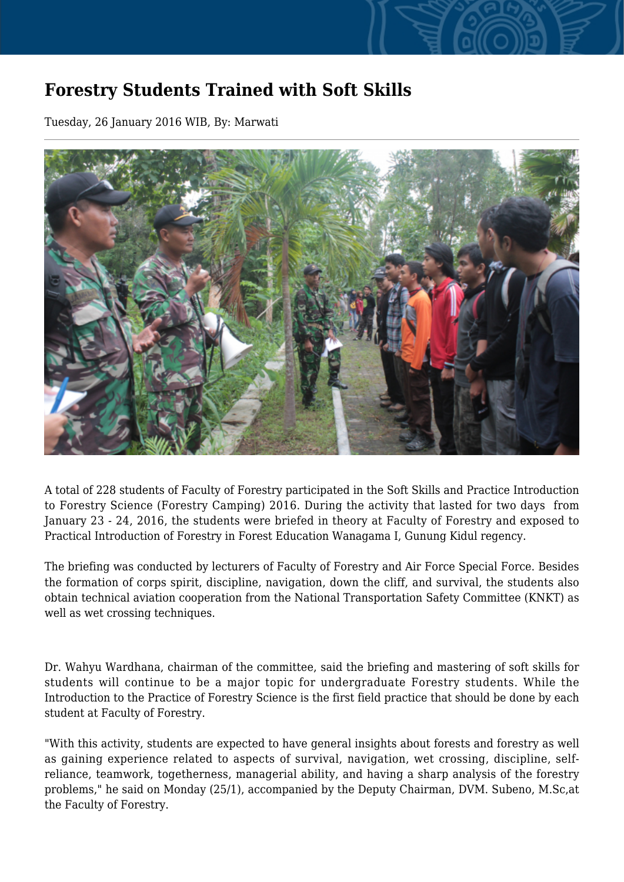## **Forestry Students Trained with Soft Skills**

Tuesday, 26 January 2016 WIB, By: Marwati



A total of 228 students of Faculty of Forestry participated in the Soft Skills and Practice Introduction to Forestry Science (Forestry Camping) 2016. During the activity that lasted for two days from January 23 - 24, 2016, the students were briefed in theory at Faculty of Forestry and exposed to Practical Introduction of Forestry in Forest Education Wanagama I, Gunung Kidul regency.

The briefing was conducted by lecturers of Faculty of Forestry and Air Force Special Force. Besides the formation of corps spirit, discipline, navigation, down the cliff, and survival, the students also obtain technical aviation cooperation from the National Transportation Safety Committee (KNKT) as well as wet crossing techniques.

Dr. Wahyu Wardhana, chairman of the committee, said the briefing and mastering of soft skills for students will continue to be a major topic for undergraduate Forestry students. While the Introduction to the Practice of Forestry Science is the first field practice that should be done by each student at Faculty of Forestry.

"With this activity, students are expected to have general insights about forests and forestry as well as gaining experience related to aspects of survival, navigation, wet crossing, discipline, selfreliance, teamwork, togetherness, managerial ability, and having a sharp analysis of the forestry problems," he said on Monday (25/1), accompanied by the Deputy Chairman, DVM. Subeno, M.Sc,at the Faculty of Forestry.